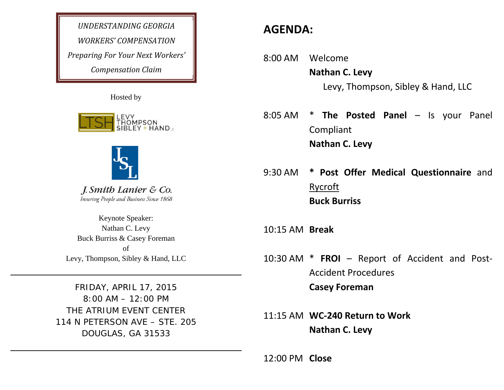*UNDERSTANDING GEORGIAWORKERS' COMPENSATIONPreparing For Your Next Workers' Compensation Claim*

Hosted by





J. Smith Lanier & Co. Insuring People and Business Since 1868

Keynote Speaker: Nathan C. Levy Buck Burriss & Casey Foreman of Levy, Thompson, Sibley & Hand, LLC

FRIDAY, APRIL 17, 2015 8:00 AM – 12:00 PM THE ATRIUM EVENT CENTER 114 N PETERSON AVE – STE. 205 DOUGLAS, GA 31533

# **AGENDA:**

- 8:00 AM Welcome **Nathan C. Levy** Levy, Thompson, Sibley & Hand, LLC
- 8:05 AM \* **The Posted Panel** – Is your Panel Compliant **Nathan C. Levy**
- 9:30 AM **\* Post Offer Medical Questionnaire** and **Rycroft Buck Burriss**
- 10:15 AM **Break**
- 10:30 AM \* **FROI** Report of Accident and Post‐ Accident Procedures**Casey Foreman**
- 11:15 AM **WC‐240 Return to Work Nathan C. Levy**